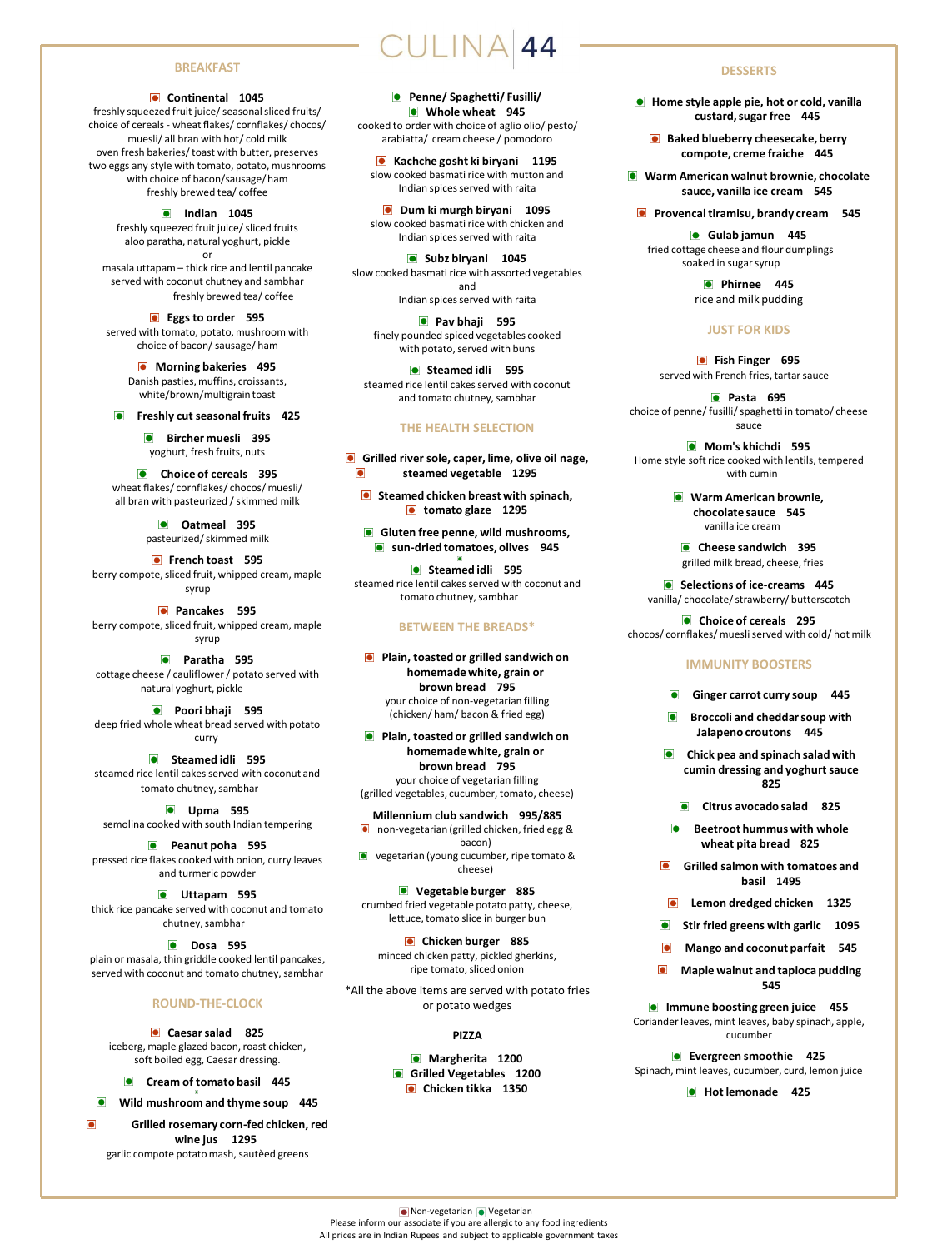#### **BREAKFAST**

#### **Continental 1045**

freshly squeezed fruit juice/ seasonal sliced fruits/ choice of cereals - wheat flakes/ cornflakes/ chocos/ muesli/ all bran with hot/ cold milk oven fresh bakeries/ toast with butter, preserves two eggs any style with tomato, potato, mushrooms with choice of bacon/sausage/ ham freshly brewed tea/ coffee

> **Indian 1045** freshly squeezed fruit juice/ sliced fruits aloo paratha, natural yoghurt, pickle or

masala uttapam – thick rice and lentil pancake served with coconut chutney and sambhar freshly brewed tea/ coffee

**Eggs to order 595** served with tomato, potato, mushroom with choice of bacon/ sausage/ ham

> **Morning bakeries** 495 Danish pasties, muffins, croissants, white/brown/multigrain toast

**Freshly cut seasonal fruits 425**

**Bircher muesli** 395 yoghurt, fresh fruits, nuts

**Choice of cereals 395** wheat flakes/ cornflakes/ chocos/ muesli/ all bran with pasteurized / skimmed milk

> **Oatmeal 395** pasteurized/ skimmed milk

**French toast 595** berry compote, sliced fruit, whipped cream, maple syrup

**Pancakes 595** berry compote, sliced fruit, whipped cream, maple syrup

**Paratha 595** cottage cheese / cauliflower / potato served with natural yoghurt, pickle

**Poori bhaji 595** deep fried whole wheat bread served with potato curry

**•** Steamed idli 595 steamed rice lentil cakes served with coconut and tomato chutney, sambhar

**Upma 595** semolina cooked with south Indian tempering

**Peanut poha 595** pressed rice flakes cooked with onion, curry leaves and turmeric powder

**Uttapam 595** thick rice pancake served with coconut and tomato chutney, sambhar

**Dosa 595** plain or masala, thin griddle cooked lentil pancakes, served with coconut and tomato chutney, sambhar

#### **ROUND-THE-CLOCK**

**Caesar salad 825**  iceberg, maple glazed bacon, roast chicken, soft boiled egg, Caesar dressing.

**Cream of tomato basil 445**

**Wild mushroom and thyme soup 445** 

**Grilled rosemary corn-fed chicken, red wine jus 1295**  garlic compote potato mash, sautèed greens

**Penne/ Spaghetti/ Fusilli/ Whole wheat 945**  cooked to order with choice of aglio olio/ pesto/ arabiatta/ cream cheese / pomodoro

**Kachche gosht ki biryani 1195**  slow cooked basmati rice with mutton and Indian spices served with raita

**O** Dum ki murgh biryani 1095 slow cooked basmati rice with chicken and Indian spices served with raita

**Subz biryani 1045**  slow cooked basmati rice with assorted vegetables and Indian spices served with raita

**Pav bhaji** 595 finely pounded spiced vegetables cooked with potato, served with buns

**o** Steamed idli 595 steamed rice lentil cakes served with coconut and tomato chutney, sambhar

#### **THE HEALTH SELECTION**

**Grilled river sole, caper, lime, olive oil nage,**  $\bullet$ **steamed vegetable 1295**

**Steamed chicken breast with spinach, o** tomato glaze 1295

**Gluten free penne, wild mushrooms, •** sun-dried tomatoes, olives 945

**Steamed idli** 595 steamed rice lentil cakes served with coconut and tomato chutney, sambhar

#### **BETWEEN THE BREADS\***

**Plain, toasted or grilled sandwich on homemade white, grain or brown bread 795** your choice of non-vegetarian filling (chicken/ ham/ bacon & fried egg)

**Plain, toasted or grilled sandwich on homemade white, grain or brown bread 795** your choice of vegetarian filling (grilled vegetables, cucumber, tomato, cheese)

**Millennium club sandwich 995/885** non-vegetarian (grilled chicken, fried egg & bacon)

**•** vegetarian (young cucumber, ripe tomato & cheese)

**Vegetable burger 885** crumbed fried vegetable potato patty, cheese, lettuce, tomato slice in burger bun

**Chicken burger 885** minced chicken patty, pickled gherkins, ripe tomato, sliced onion

\*All the above items are served with potato fries or potato wedges

#### **PIZZA**

**Margherita 1200 Grilled Vegetables 1200 Chicken tikka 1350**

#### **DESSERTS**

**Home style apple pie, hot or cold, vanilla custard, sugar free 445**

**Baked blueberry cheesecake, berry compote, creme fraiche 445**

**Warm American walnut brownie, chocolate sauce, vanilla ice cream 545**

**Provencal tiramisu, brandy cream** 545

**Gulab jamun 445** fried cottage cheese and flour dumplings soaked in sugar syrup

> **Phirnee 445** rice and milk pudding

### **JUST FOR KIDS**

**•** Fish Finger 695 served with French fries, tartar sauce

**Pasta 695** choice of penne/ fusilli/ spaghetti in tomato/ cheese sauce

**Mom's khichdi 595** Home style soft rice cooked with lentils, tempered with cumin

> **Warm American brownie, chocolate sauce 545** vanilla ice cream

**Cheese sandwich 395** grilled milk bread, cheese, fries

**Selections of ice-creams** 445 vanilla/ chocolate/ strawberry/ butterscotch

**Choice of cereals** 295 chocos/ cornflakes/ muesli served with cold/ hot milk

#### **IMMUNITY BOOSTERS**

- **Ginger carrot curry soup 445**
- **Broccoli and cheddar soup with Jalapeno croutons 445**
- **Chick pea and spinach salad with cumin dressing and yoghurt sauce 825**
	- **Citrus avocado salad 825**
- **Beetroot hummus with whole wheat pita bread 825**
- **Grilled salmon with tomatoes and basil 1495**
- **Lemon dredged chicken 1325**
- **Stir fried greens with garlic 1095**
- **Mango and coconut parfait 545**
- **Maple walnut and tapioca pudding 545**

**Immune boosting green juice 455** Coriander leaves, mint leaves, baby spinach, apple, cucumber

**Evergreen smoothie 425** Spinach, mint leaves, cucumber, curd, lemon juice

 $\bullet$  Hot lemonade 425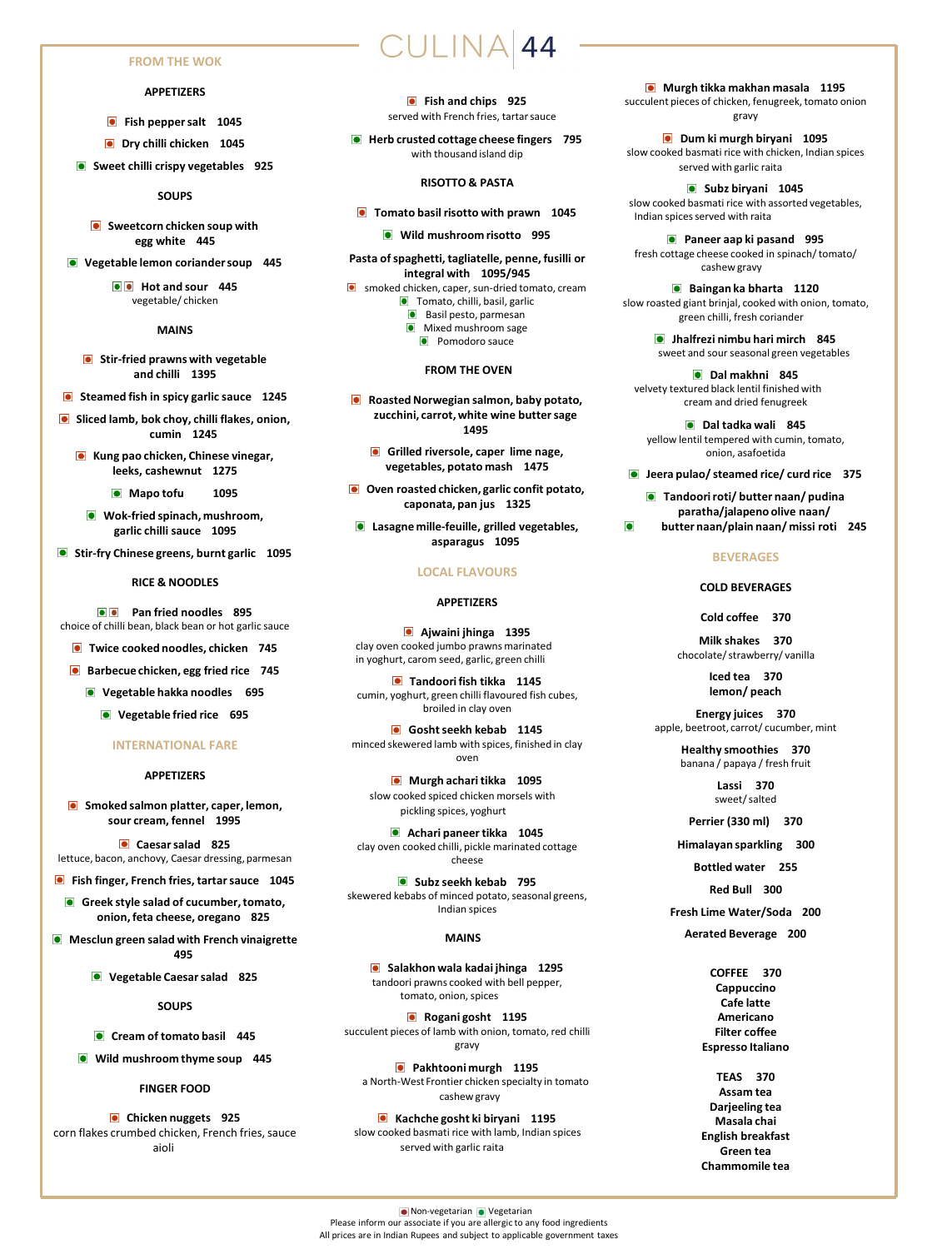#### **FROM THE WOK**

#### **APPETIZERS**

- **•** Fish pepper salt 1045
- **Dry chilli chicken 1045**
- **Sweet chilli crispy vegetables 925**

#### **SOUPS**

- **Sweetcorn chicken soup with egg white 445**
- **Vegetable lemon coriander soup 445**

 $\bullet$  Hot and sour 445 vegetable/ chicken

#### **MAINS**

- **Stir-fried prawns with vegetable and chilli 1395**
- **Steamed fish in spicy garlic sauce** 1245
- **Sliced lamb, bok choy, chilli flakes, onion, cumin 1245**
	- **Kung pao chicken, Chinese vinegar, leeks, cashewnut 1275**
		- **Mapo tofu 1095**
		- **Wok-fried spinach, mushroom, garlic chilli sauce 1095**
- **G** Stir-fry Chinese greens, burnt garlic 1095

#### **RICE & NOODLES**

**Pan fried noodles** 895 choice of chilli bean, black bean or hot garlic sauce

- **Twice cooked noodles, chicken 745**
- **Barbecue chicken, egg fried rice 745** 
	- **Vegetable hakka noodles 695**
		- **Vegetable fried rice 695**

#### **INTERNATIONAL FARE**

#### **APPETIZERS**

**Smoked salmon platter, caper, lemon, sour cream, fennel 1995**

**Caesar salad 825** lettuce, bacon, anchovy, Caesar dressing, parmesan

**Fish finger, French fries, tartar sauce 1045**

**Greek style salad of cucumber, tomato, onion, feta cheese, oregano 825**

**Mesclun green salad with French vinaigrette 495**

**Vegetable Caesar salad 825**

**SOUPS**

**Cream of tomato basil 445** 

**Wild mushroom thyme soup 445**

#### **FINGER FOOD**

**Chicken nuggets** 925 corn flakes crumbed chicken, French fries, sauce aioli

#### **Fish and chips** 925 served with French fries, tartar sauce

ULINA 44

 $\bullet$  Herb crusted cottage cheese fingers 795 with thousand island dip

#### **RISOTTO & PASTA**

- **Tomato basil risotto with prawn** 1045
	- **Wild mushroom risotto 995**
- **Pasta of spaghetti, tagliatelle, penne, fusilli or integral with 1095/945**
- **o** smoked chicken, caper, sun-dried tomato, cream **Tomato, chilli, basil, garlic** 
	- **Basil pesto, parmesan**
	- **O** Mixed mushroom sage **•** Pomodoro sauce

#### **FROM THE OVEN**

- **Roasted Norwegian salmon, baby potato, zucchini, carrot, white wine butter sage 1495**
	- **Grilled riversole, caper lime nage, vegetables, potato mash 1475**
- **O** Oven roasted chicken, garlic confit potato, **caponata, pan jus 1325**
- **Lasagne mille-feuille, grilled vegetables, asparagus 1095**

#### **LOCAL FLAVOURS**

#### **APPETIZERS**

**Ajwaini jhinga 1395** clay oven cooked jumbo prawns marinated in yoghurt, carom seed, garlic, green chilli

**Tandoori fish tikka 1145** cumin, yoghurt, green chilli flavoured fish cubes, broiled in clay oven

**Gosht seekh kebab 1145** minced skewered lamb with spices, finished in clay oven

**Murgh achari tikka** 1095 slow cooked spiced chicken morsels with pickling spices, yoghurt

**Achari paneer tikka 1045** clay oven cooked chilli, pickle marinated cottage cheese

**G** Subz seekh kebab 795 skewered kebabs of minced potato, seasonal greens, Indian spices

#### **MAINS**

**Salakhon wala kadai jhinga 1295** tandoori prawns cooked with bell pepper, tomato, onion, spices

**Rogani gosht 1195** succulent pieces of lamb with onion, tomato, red chilli gravy

**Pakhtooni murgh 1195** a North-West Frontier chicken specialty in tomato cashew gravy

**Kachche gosht ki biryani 1195** slow cooked basmati rice with lamb, Indian spices served with garlic raita

**Murgh tikka makhan masala 1195** succulent pieces of chicken, fenugreek, tomato onion gravy

**Dum ki murgh biryani 1095** slow cooked basmati rice with chicken, Indian spices served with garlic raita

**Subz biryani 1045** slow cooked basmati rice with assorted vegetables, Indian spices served with raita

**Paneer aap ki pasand 995** fresh cottage cheese cooked in spinach/ tomato/ cashew gravy

**Baingan ka bharta 1120** slow roasted giant brinjal, cooked with onion, tomato, green chilli, fresh coriander

> **Jhalfrezi nimbu hari mirch 845** sweet and sour seasonal green vegetables

**Dal makhni 845** velvety textured black lentil finished with cream and dried fenugreek

- **Dal tadka wali 845** yellow lentil tempered with cumin, tomato, onion, asafoetida
- **Jeera pulao/ steamed rice/ curd rice 375**
- **Tandoori roti/ butter naan/ pudina paratha/jalapeno olive naan/**
- **butter naan/plain naan/ missi roti 245**

#### **BEVERAGES**

#### **COLD BEVERAGES**

**Cold coffee 370** 

**Milk shakes 370**  chocolate/ strawberry/ vanilla

> **Iced tea 370 lemon/ peach**

**Energy juices 370**  apple, beetroot, carrot/ cucumber, mint

> **Healthy smoothies 370**  banana / papaya / fresh fruit

> > **Lassi 370** sweet/ salted

**Perrier (330 ml) 370**

**Himalayan sparkling 300**

**Bottled water 255**

**Red Bull 300**

**Fresh Lime Water/Soda 200**

#### **Aerated Beverage 200**

**COFFEE 370 Cappuccino Cafe latte Americano Filter coffee Espresso Italiano**

**TEAS 370 Assam tea Darjeeling tea Masala chai English breakfast Green tea Chammomile tea**

**O** Non-vegetarian **O** Vegetarian Please inform our associate if you are allergic to any food ingredients All prices are in Indian Rupees and subject to applicable government taxes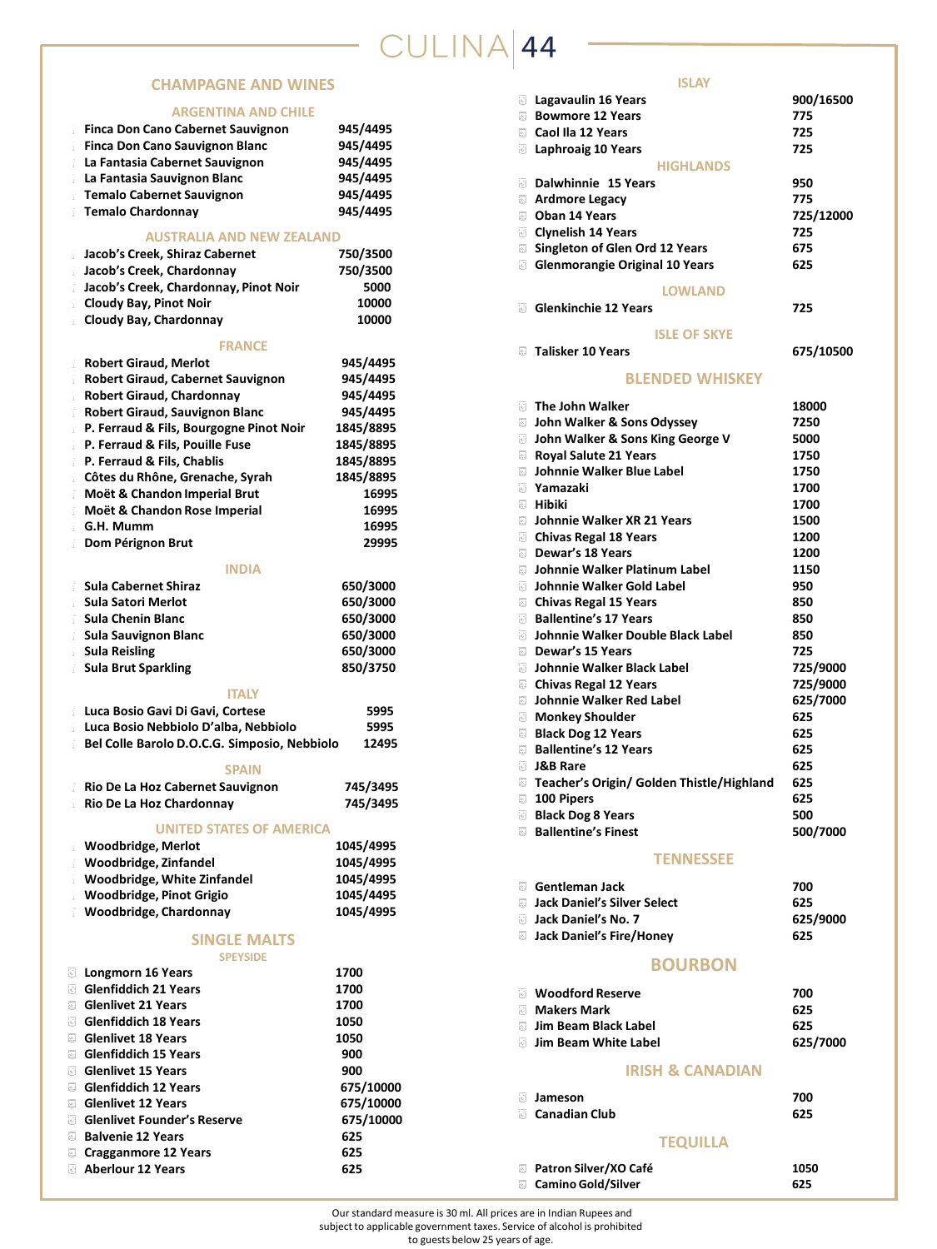# CULINA 44

# **CHAMPAGNE AND WINES**

### **ARGENTINA AND CHILE**

| ANJLIVIIIVA AIVY                             |           |
|----------------------------------------------|-----------|
| <b>Finca Don Cano Cabernet Sauvignon</b>     | 945/4495  |
| <b>Finca Don Cano Sauvignon Blanc</b>        | 945/4495  |
| La Fantasia Cabernet Sauvignon               | 945/4495  |
| La Fantasia Sauvignon Blanc                  | 945/4495  |
| <b>Temalo Cabernet Sauvignon</b>             | 945/4495  |
| <b>Temalo Chardonnay</b>                     | 945/4495  |
| <b>AUSTRALIA AND NEW ZEALAND</b>             |           |
| Jacob's Creek, Shiraz Cabernet               | 750/3500  |
| Jacob's Creek, Chardonnay                    | 750/3500  |
| Jacob's Creek, Chardonnay, Pinot Noir        | 5000      |
| <b>Cloudy Bay, Pinot Noir</b>                | 10000     |
| <b>Cloudy Bay, Chardonnay</b>                | 10000     |
|                                              |           |
| <b>FRANCE</b>                                |           |
| <b>Robert Giraud, Merlot</b>                 | 945/4495  |
| <b>Robert Giraud, Cabernet Sauvignon</b>     | 945/4495  |
| <b>Robert Giraud, Chardonnay</b>             | 945/4495  |
| <b>Robert Giraud, Sauvignon Blanc</b>        | 945/4495  |
| P. Ferraud & Fils, Bourgogne Pinot Noir      | 1845/8895 |
| P. Ferraud & Fils, Pouille Fuse              | 1845/8895 |
| P. Ferraud & Fils, Chablis                   | 1845/8895 |
| Côtes du Rhône, Grenache, Syrah              | 1845/8895 |
| Moët & Chandon Imperial Brut                 | 16995     |
| Moët & Chandon Rose Imperial                 | 16995     |
| G.H. Mumm                                    | 16995     |
| Dom Pérignon Brut                            | 29995     |
| <b>INDIA</b>                                 |           |
| <b>Sula Cabernet Shiraz</b>                  | 650/3000  |
| <b>Sula Satori Merlot</b>                    | 650/3000  |
| <b>Sula Chenin Blanc</b>                     | 650/3000  |
| <b>Sula Sauvignon Blanc</b>                  | 650/3000  |
| <b>Sula Reisling</b>                         | 650/3000  |
| <b>Sula Brut Sparkling</b>                   | 850/3750  |
| <b>ITALY</b>                                 |           |
| Luca Bosio Gavi Di Gavi, Cortese             | 5995      |
| Luca Bosio Nebbiolo D'alba, Nebbiolo         | 5995      |
| Bel Colle Barolo D.O.C.G. Simposio, Nebbiolo | 12495     |
| <b>SPAIN</b>                                 |           |
| Rio De La Hoz Cabernet Sauvignon             | 745/3495  |
| Rio De La Hoz Chardonnay                     | 745/3495  |
| <b>UNITED STATES OF AMERICA</b>              |           |
| <b>Woodbridge, Merlot</b>                    | 1045/4995 |
| Woodbridge, Zinfandel                        | 1045/4995 |
| <b>Woodbridge, White Zinfandel</b>           | 1045/4995 |
| <b>Woodbridge, Pinot Grigio</b>              | 1045/4495 |
| <b>Woodbridge, Chardonnay</b>                | 1045/4995 |
|                                              |           |
| <b>SINGLE MALTS</b><br><b>SPEYSIDE</b>       |           |
| <b>Longmorn 16 Years</b>                     | 1700      |
| <b>Glenfiddich 21 Years</b>                  | 1700      |
| <b>Glenlivet 21 Years</b>                    | 1700      |
| <b>Glenfiddich 18 Years</b>                  | 1050      |
| <b>Glenlivet 18 Years</b>                    | 1050      |
| <b>Glenfiddich 15 Years</b>                  | 900       |
| <b>Glenlivet 15 Years</b>                    | 900       |
| <b>Glenfiddich 12 Years</b>                  | 675/10000 |
| <b>Glenlivet 12 Years</b>                    | 675/10000 |
| <b>Glenlivet Founder's Reserve</b>           | 675/10000 |
| <b>Balvenie 12 Years</b>                     | 625       |
| <b>Cragganmore 12 Years</b>                  |           |
|                                              | 625       |
| <b>Aberlour 12 Years</b>                     | 625       |

| <b>ISLAY</b>                              |           |
|-------------------------------------------|-----------|
| Lagavaulin 16 Years                       | 900/16500 |
| <b>Bowmore 12 Years</b>                   | 775       |
| Caol Ila 12 Years                         | 725       |
| Laphroaig 10 Years                        | 725       |
| <b>HIGHLANDS</b>                          |           |
| Dalwhinnie 15 Years                       | 950       |
| <b>Ardmore Legacy</b>                     | 775       |
| <b>Oban 14 Years</b>                      | 725/12000 |
| <b>Clynelish 14 Years</b>                 | 725       |
| <b>Singleton of Glen Ord 12 Years</b>     | 675       |
| <b>Glenmorangie Original 10 Years</b>     | 625       |
| <b>LOWLAND</b>                            |           |
| <b>Glenkinchie 12 Years</b>               | 725       |
|                                           |           |
| <b>ISLE OF SKYE</b>                       |           |
| <b>Talisker 10 Years</b>                  | 675/10500 |
| <b>BLENDED WHISKEY</b>                    |           |
| The John Walker                           | 18000     |
| John Walker & Sons Odyssey                | 7250      |
| John Walker & Sons King George V          | 5000      |
| <b>Royal Salute 21 Years</b>              | 1750      |
| Johnnie Walker Blue Label                 | 1750      |
| Yamazaki                                  | 1700      |
| <b>Hibiki</b>                             | 1700      |
| Johnnie Walker XR 21 Years                | 1500      |
| <b>Chivas Regal 18 Years</b>              | 1200      |
| Dewar's 18 Years                          | 1200      |
| Johnnie Walker Platinum Label             | 1150      |
| Johnnie Walker Gold Label                 | 950       |
| <b>Chivas Regal 15 Years</b>              | 850       |
| <b>Ballentine's 17 Years</b>              | 850       |
| Johnnie Walker Double Black Label         | 850       |
| Dewar's 15 Years                          | 725       |
| Johnnie Walker Black Label                | 725/9000  |
| <b>Chivas Regal 12 Years</b>              | 725/9000  |
| Johnnie Walker Red Label                  | 625/7000  |
| <b>Monkey Shoulder</b>                    | 625       |
| <b>Black Dog 12 Years</b>                 | 625       |
| <b>Ballentine's 12 Years</b>              | 625       |
| <b>J&amp;B Rare</b>                       | 625       |
| Teacher's Origin/ Golden Thistle/Highland | 625       |
| 100 Pipers                                | 625       |
| <b>Black Dog 8 Years</b>                  | 500       |
| <b>Ballentine's Finest</b>                | 500/7000  |
| <b>TENNESSEE</b>                          |           |
| Gentleman Jack                            | 700       |
|                                           |           |

| , uu     |
|----------|
| 625      |
| 625/9000 |
| 625      |
|          |

# **BOURBON**

| <b>Woodford Reserve</b> | 700      |
|-------------------------|----------|
| <b>Makers Mark</b>      | 625      |
| Jim Beam Black Label    | 625      |
| Jim Beam White Label    | 625/7000 |

## **IRISH & CANADIAN**

| Jameson              | 700 |
|----------------------|-----|
| <b>Canadian Club</b> | 625 |

# **TEQUILLA**

| Patron Silver/XO Café     | 1050 |
|---------------------------|------|
| <b>Camino Gold/Silver</b> | 625  |